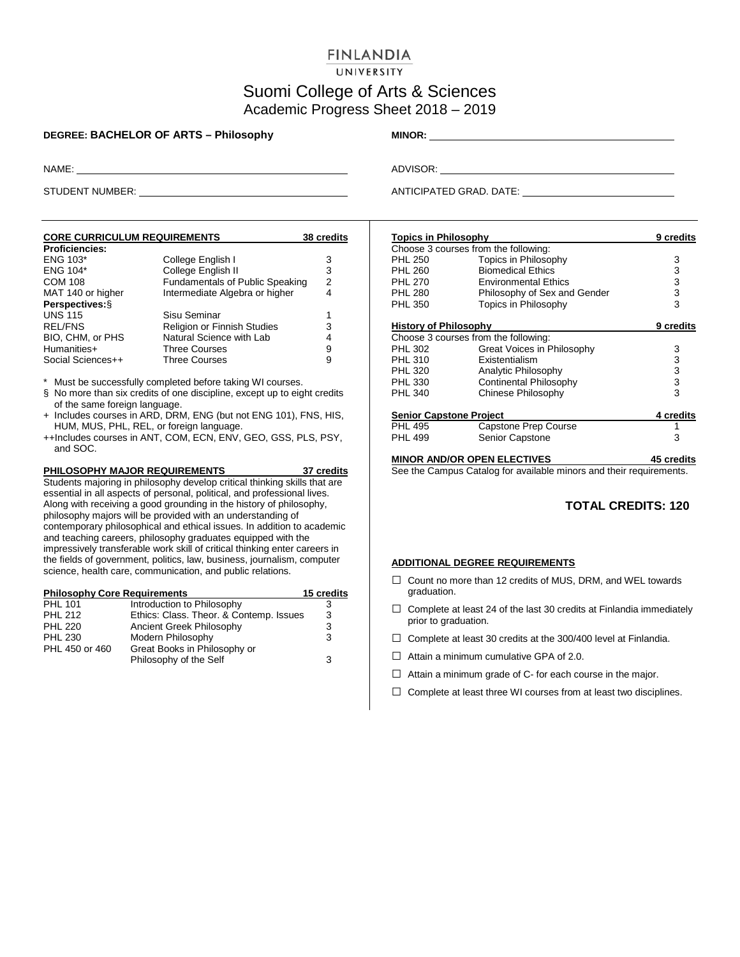### **FINLANDIA**

#### UNIVERSITY

# Suomi College of Arts & Sciences Academic Progress Sheet 2018 – 2019

#### **DEGREE: BACHELOR OF ARTS – Philosophy MINOR:** \_\_\_\_\_\_\_\_\_

| <b>CORE CURRICULUM REQUIREMENTS</b> |                                        | 38 credits |
|-------------------------------------|----------------------------------------|------------|
| <b>Proficiencies:</b>               |                                        |            |
| <b>ENG 103*</b>                     | College English I                      | 3          |
| ENG 104*                            | College English II                     | 3          |
| <b>COM 108</b>                      | <b>Fundamentals of Public Speaking</b> | 2          |
| MAT 140 or higher                   | Intermediate Algebra or higher         | 4          |
| Perspectives: §                     |                                        |            |
| <b>UNS 115</b>                      | Sisu Seminar                           | 1          |
| <b>REL/FNS</b>                      | Religion or Finnish Studies            | 3          |
| BIO, CHM, or PHS                    | Natural Science with Lab               | 4          |
| Humanities+                         | <b>Three Courses</b>                   | 9          |
| Social Sciences++                   | <b>Three Courses</b>                   | 9          |

\* Must be successfully completed before taking WI courses.

- § No more than six credits of one discipline, except up to eight credits of the same foreign language.
- + Includes courses in ARD, DRM, ENG (but not ENG 101), FNS, HIS, HUM, MUS, PHL, REL, or foreign language.
- ++Includes courses in ANT, COM, ECN, ENV, GEO, GSS, PLS, PSY, and SOC.

#### **PHILOSOPHY MAJOR REQUIREMENTS 37 credits**

Students majoring in philosophy develop critical thinking skills that are essential in all aspects of personal, political, and professional lives. Along with receiving a good grounding in the history of philosophy, philosophy majors will be provided with an understanding of contemporary philosophical and ethical issues. In addition to academic and teaching careers, philosophy graduates equipped with the impressively transferable work skill of critical thinking enter careers in the fields of government, politics, law, business, journalism, computer science, health care, communication, and public relations.

| <b>Philosophy Core Requirements</b> |                                         | 15 credits |
|-------------------------------------|-----------------------------------------|------------|
| <b>PHL 101</b>                      | Introduction to Philosophy              | 3          |
| <b>PHL 212</b>                      | Ethics: Class. Theor. & Contemp. Issues | 3          |
| <b>PHL 220</b>                      | Ancient Greek Philosophy                | 3          |
| <b>PHL 230</b>                      | Modern Philosophy                       | 3          |
| PHL 450 or 460                      | Great Books in Philosophy or            |            |
|                                     | Philosophy of the Self                  | 3          |

NAME: ADVISOR:

STUDENT NUMBER: ANTICIPATED GRAD. DATE:

| <b>Topics in Philosophy</b>    |                                      | 9 credits         |
|--------------------------------|--------------------------------------|-------------------|
|                                | Choose 3 courses from the following: |                   |
| <b>PHL 250</b>                 | Topics in Philosophy                 | 3                 |
| <b>PHL 260</b>                 | <b>Biomedical Ethics</b>             | 3                 |
| <b>PHL 270</b>                 | <b>Environmental Ethics</b>          | 3                 |
| <b>PHL 280</b>                 | Philosophy of Sex and Gender         | 3                 |
| PHL 350                        | Topics in Philosophy                 | 3                 |
| <b>History of Philosophy</b>   |                                      | 9 credits         |
|                                | Choose 3 courses from the following: |                   |
| <b>PHL 302</b>                 | Great Voices in Philosophy           | 3                 |
| <b>PHL 310</b>                 | <b>Fxistentialism</b>                | 3                 |
| <b>PHL 320</b>                 | Analytic Philosophy                  | 3                 |
| PHL 330                        | <b>Continental Philosophy</b>        | 3                 |
| <b>PHL 340</b>                 | Chinese Philosophy                   | 3                 |
| <b>Senior Capstone Project</b> |                                      | 4 credits         |
| <b>PHL 495</b>                 | Capstone Prep Course                 |                   |
| <b>PHL 499</b>                 | Senior Capstone                      | 3                 |
|                                | <b>MINOR AND/OR OPEN ELECTIVES</b>   | <b>45 credits</b> |

See the Campus Catalog for available minors and their requirements.

### **TOTAL CREDITS: 120**

#### **ADDITIONAL DEGREE REQUIREMENTS**

- □ Count no more than 12 credits of MUS, DRM, and WEL towards graduation.
- $\Box$  Complete at least 24 of the last 30 credits at Finlandia immediately prior to graduation.
- $\Box$  Complete at least 30 credits at the 300/400 level at Finlandia.
- $\Box$  Attain a minimum cumulative GPA of 2.0.
- $\Box$  Attain a minimum grade of C- for each course in the major.
- $\Box$  Complete at least three WI courses from at least two disciplines.